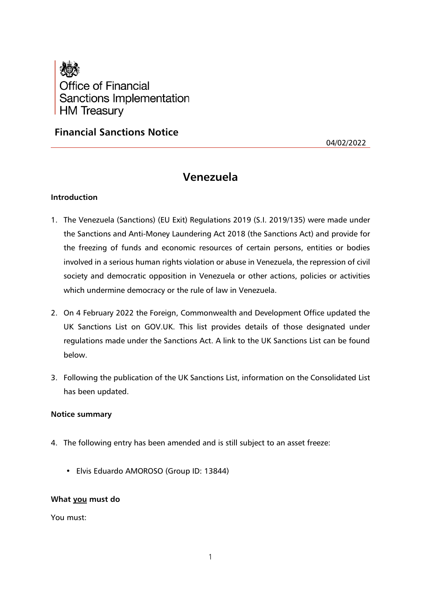

# **Financial Sanctions Notice**

04/02/2022

# **Venezuela**

## **Introduction**

- 1. The Venezuela (Sanctions) (EU Exit) Regulations 2019 (S.I. 2019/135) were made under the Sanctions and Anti-Money Laundering Act 2018 (the Sanctions Act) and provide for the freezing of funds and economic resources of certain persons, entities or bodies involved in a serious human rights violation or abuse in Venezuela, the repression of civil society and democratic opposition in Venezuela or other actions, policies or activities which undermine democracy or the rule of law in Venezuela.
- 2. On 4 February 2022 the Foreign, Commonwealth and Development Office updated the UK Sanctions List on GOV.UK. This list provides details of those designated under regulations made under the Sanctions Act. A link to the UK Sanctions List can be found below.
- 3. Following the publication of the UK Sanctions List, information on the Consolidated List has been updated.

#### **Notice summary**

- 4. The following entry has been amended and is still subject to an asset freeze:
	- Elvis Eduardo AMOROSO (Group ID: 13844)

## **What you must do**

You must: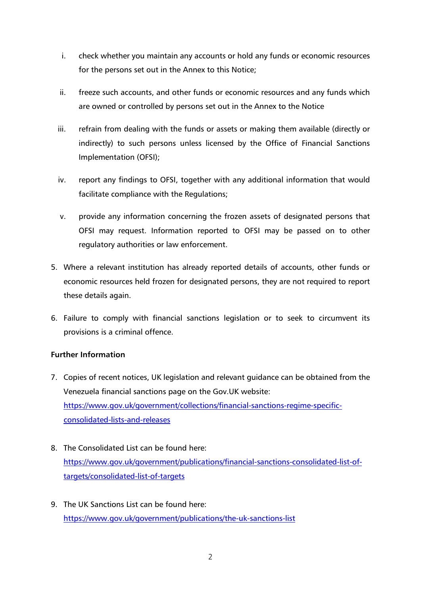- i. check whether you maintain any accounts or hold any funds or economic resources for the persons set out in the Annex to this Notice;
- ii. freeze such accounts, and other funds or economic resources and any funds which are owned or controlled by persons set out in the Annex to the Notice
- iii. refrain from dealing with the funds or assets or making them available (directly or indirectly) to such persons unless licensed by the Office of Financial Sanctions Implementation (OFSI);
- iv. report any findings to OFSI, together with any additional information that would facilitate compliance with the Regulations;
- v. provide any information concerning the frozen assets of designated persons that OFSI may request. Information reported to OFSI may be passed on to other regulatory authorities or law enforcement.
- 5. Where a relevant institution has already reported details of accounts, other funds or economic resources held frozen for designated persons, they are not required to report these details again.
- 6. Failure to comply with financial sanctions legislation or to seek to circumvent its provisions is a criminal offence.

## **Further Information**

- 7. Copies of recent notices, UK legislation and relevant guidance can be obtained from the Venezuela financial sanctions page on the Gov.UK website: [https://www.gov.uk/government/collections/financial-sanctions-regime-specific](https://www.gov.uk/government/collections/financial-sanctions-regime-specific-consolidated-lists-and-releases)[consolidated-lists-and-releases](https://www.gov.uk/government/collections/financial-sanctions-regime-specific-consolidated-lists-and-releases)
- 8. The Consolidated List can be found here: [https://www.gov.uk/government/publications/financial-sanctions-consolidated-list-of](https://www.gov.uk/government/publications/financial-sanctions-consolidated-list-of-targets/consolidated-list-of-targets)[targets/consolidated-list-of-targets](https://www.gov.uk/government/publications/financial-sanctions-consolidated-list-of-targets/consolidated-list-of-targets)
- 9. The UK Sanctions List can be found here: <https://www.gov.uk/government/publications/the-uk-sanctions-list>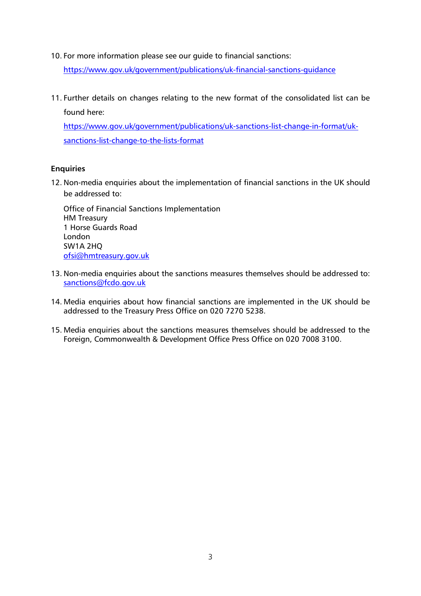10. For more information please see our guide to financial sanctions:

<https://www.gov.uk/government/publications/uk-financial-sanctions-guidance>

11. Further details on changes relating to the new format of the consolidated list can be found here:

[https://www.gov.uk/government/publications/uk-sanctions-list-change-in-format/uk](https://www.gov.uk/government/publications/uk-sanctions-list-change-in-format/uk-sanctions-list-change-to-the-lists-format)[sanctions-list-change-to-the-lists-format](https://www.gov.uk/government/publications/uk-sanctions-list-change-in-format/uk-sanctions-list-change-to-the-lists-format)

## **Enquiries**

12. Non-media enquiries about the implementation of financial sanctions in the UK should be addressed to:

Office of Financial Sanctions Implementation HM Treasury 1 Horse Guards Road London SW1A 2HQ [ofsi@hmtreasury.gov.uk](mailto:ofsi@hmtreasury.gov.uk)

- 13. Non-media enquiries about the sanctions measures themselves should be addressed to: [sanctions@fcdo.gov.uk](mailto:sanctions@fcdo.gov.uk)
- 14. Media enquiries about how financial sanctions are implemented in the UK should be addressed to the Treasury Press Office on 020 7270 5238.
- 15. Media enquiries about the sanctions measures themselves should be addressed to the Foreign, Commonwealth & Development Office Press Office on 020 7008 3100.